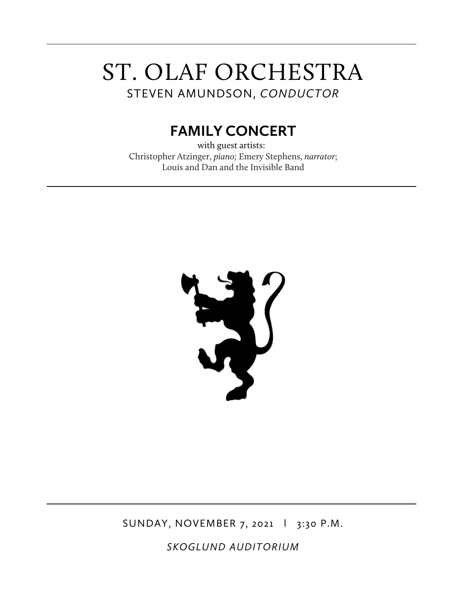# ST. OLAF ORCHESTRA STEVEN AMUNDSON, *CONDUCTOR*

# **FAMILY CONCERT**

with guest artists: Christopher Atzinger, *piano;* Emery Stephens, *narrator*; Louis and Dan and the Invisible Band



SUNDAY, NOVEMBER 7, 2021 | 3:30 P.M.

*SKOGLUND AUDITORIUM*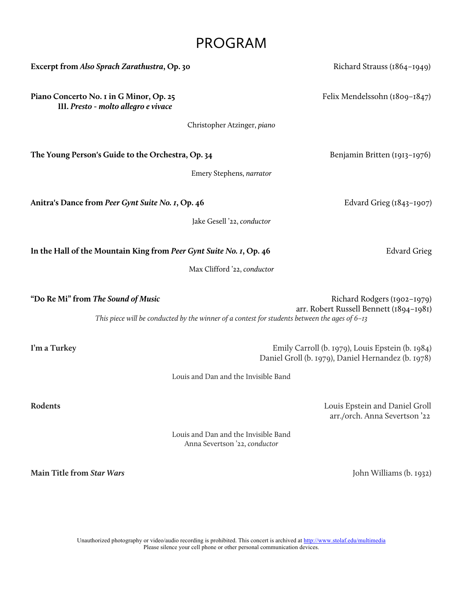## PROGRAM

| Excerpt from Also Sprach Zarathustra, Op. 30                                    | Richard Strauss (1864-1949)                                                                                                                                               |
|---------------------------------------------------------------------------------|---------------------------------------------------------------------------------------------------------------------------------------------------------------------------|
| Piano Concerto No. 1 in G Minor, Op. 25<br>III. Presto - molto allegro e vivace | Felix Mendelssohn (1809-1847)                                                                                                                                             |
| Christopher Atzinger, piano                                                     |                                                                                                                                                                           |
| The Young Person's Guide to the Orchestra, Op. 34                               | Benjamin Britten (1913-1976)                                                                                                                                              |
|                                                                                 | Emery Stephens, narrator                                                                                                                                                  |
| Anitra's Dance from Peer Gynt Suite No. 1, Op. 46                               | Edvard Grieg $(1843 - 1907)$                                                                                                                                              |
| Jake Gesell '22, conductor                                                      |                                                                                                                                                                           |
| In the Hall of the Mountain King from Peer Gynt Suite No. 1, Op. 46             | <b>Edvard Grieg</b>                                                                                                                                                       |
| Max Clifford '22, conductor                                                     |                                                                                                                                                                           |
| "Do Re Mi" from The Sound of Music                                              | Richard Rodgers (1902-1979)<br>arr. Robert Russell Bennett (1894-1981)<br>This piece will be conducted by the winner of a contest for students between the ages of $6-13$ |
| I'm a Turkey                                                                    | Emily Carroll (b. 1979), Louis Epstein (b. 1984)<br>Daniel Groll (b. 1979), Daniel Hernandez (b. 1978)                                                                    |

Louis and Dan and the Invisible Band

**Rodents** Louis Epstein and Daniel Groll arr./orch. Anna Severtson '22

> Louis and Dan and the Invisible Band Anna Severtson '22, *conductor*

**Main Title from** *Star Wars*John Williams (b. 1932)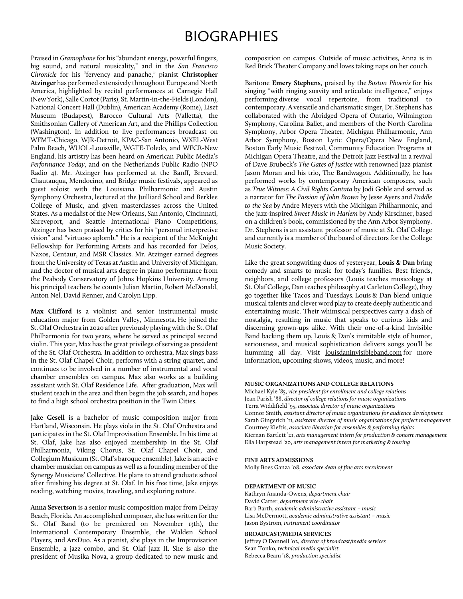# BIOGRAPHIES

Praised in *Gramophone*for his "abundant energy, powerful fingers, big sound, and natural musicality," and in the *San Francisco Chronicle* for his "fervency and panache," pianist **Christopher Atzinger** has performed extensively throughout Europe and North America, highlighted by recital performances at Carnegie Hall (New York), Salle Cortot (Paris), St. Martin-in-the-Fields (London), National Concert Hall (Dublin), American Academy (Rome), Liszt Museum (Budapest), Barocco Cultural Arts (Valletta), the Smithsonian Gallery of American Art, and the Phillips Collection (Washington). In addition to live performances broadcast on WFMT-Chicago, WJR-Detroit, KPAC-San Antonio, WXEL-West Palm Beach, WUOL-Louisville, WGTE-Toledo, and WFCR-New England, his artistry has been heard on American Public Media's *Performance Today*, and on the Netherlands Public Radio (NPO Radio 4). Mr. Atzinger has performed at the Banff, Brevard, Chautauqua, Mendocino, and Bridge music festivals, appeared as guest soloist with the Louisiana Philharmonic and Austin Symphony Orchestra, lectured at the Juilliard School and Berklee College of Music, and given masterclasses across the United States. As a medalist of the New Orleans, San Antonio, Cincinnati, Shreveport, and Seattle International Piano Competitions, Atzinger has been praised by critics for his "personal interpretive vision" and "virtuoso aplomb." He is a recipient of the McKnight Fellowship for Performing Artists and has recorded for Delos, Naxos, Centaur, and MSR Classics. Mr. Atzinger earned degrees from the University of Texas at Austin and University of Michigan, and the doctor of musical arts degree in piano performance from the Peabody Conservatory of Johns Hopkins University. Among his principal teachers he counts Julian Martin, Robert McDonald, Anton Nel, David Renner, and Carolyn Lipp.

**Max Clifford** is a violinist and senior instrumental music education major from Golden Valley, Minnesota. He joined the St. Olaf Orchestra in 2020 after previously playing with the St. Olaf Philharmonia for two years, where he served as principal second violin. This year, Max has the great privilege of serving as president of the St. Olaf Orchestra. In addition to orchestra, Max sings bass in the St. Olaf Chapel Choir, performs with a string quartet, and continues to be involved in a number of instrumental and vocal chamber ensembles on campus. Max also works as a building assistant with St. Olaf Residence Life. After graduation, Max will student teach in the area and then begin the job search, and hopes to find a high school orchestra position in the Twin Cities.

**Jake Gesell** is a bachelor of music composition major from Hartland, Wisconsin. He plays viola in the St. Olaf Orchestra and participates in the St. Olaf Improvisation Ensemble. In his time at St. Olaf, Jake has also enjoyed membership in the St. Olaf Philharmonia, Viking Chorus, St. Olaf Chapel Choir, and Collegium Musicum (St. Olaf's baroque ensemble). Jake is an active chamber musician on campus as well as a founding member of the Synergy Musicians' Collective. He plans to attend graduate school after finishing his degree at St. Olaf. In his free time, Jake enjoys reading, watching movies, traveling, and exploring nature.

**Anna Severtson** is a senior music composition major from Delray Beach, Florida. An accomplished composer, she has written for the St. Olaf Band (to be premiered on November 13th), the International Contemporary Ensemble, the Walden School Players, and ArxDuo. As a pianist, she plays in the Improvisation Ensemble, a jazz combo, and St. Olaf Jazz II. She is also the president of Musika Nova, a group dedicated to new music and composition on campus. Outside of music activities, Anna is in Red Brick Theater Company and loves taking naps on her couch.

Baritone **Emery Stephens**, praised by the *Boston Phoenix* for his singing "with ringing suavity and articulate intelligence," enjoys performing diverse vocal repertoire, from traditional to contemporary. A versatile and charismatic singer, Dr. Stephens has collaborated with the Abridged Opera of Ontario, Wilmington Symphony, Carolina Ballet, and members of the North Carolina Symphony, Arbor Opera Theater, Michigan Philharmonic, Ann Arbor Symphony, Boston Lyric Opera/Opera New England, Boston Early Music Festival, Community Education Programs at Michigan Opera Theatre, and the Detroit Jazz Festival in a revival of Dave Brubeck's *The Gates of Justice* with renowned jazz pianist Jason Moran and his trio, The Bandwagon. Additionally, he has performed works by contemporary American composers, such as *True Witness: A Civil Rights Cantata* by Jodi Goble and served as a narrator for *The Passion of John Brown* by Jesse Ayers and *Paddle to the Sea* by Andre Meyers with the Michigan Philharmonic, and the jazz-inspired *Sweet Music in Harlem* by Andy Kirschner, based on a children's book, commissioned by the Ann Arbor Symphony. Dr. Stephens is an assistant professor of music at St. Olaf College and currently is a member of the board of directors for the College Music Society.

Like the great songwriting duos of yesteryear, **Louis & Dan** bring comedy and smarts to music for today's families. Best friends, neighbors, and college professors (Louis teaches musicology at St. Olaf College, Dan teaches philosophy at Carleton College), they go together like Tacos and Tuesdays. Louis & Dan blend unique musical talents and clever word play to create deeply authentic and entertaining music. Their whimsical perspectives carry a dash of nostalgia, resulting in music that speaks to curious kids and discerning grown-ups alike. With their one-of-a-kind Invisible Band backing them up, Louis & Dan's inimitable style of humor, seriousness, and musical sophistication delivers songs you'll be humming all day. Visit louisdaninvisibleband.com for more information, upcoming shows, videos, music, and more!

#### **MUSIC ORGANIZATIONS AND COLLEGE RELATIONS**

Michael Kyle '85, *vice president for enrollment and college relations* Jean Parish '88, *director of college relations for music organizations*  Terra Widdifield '95, *associate director of music organizations*  Connor Smith, *assistant director of music organizations for audience development* Sarah Gingerich '11*, assistant director of music organizations for project management* Courtney Kleftis, *associate librarian for ensembles & performing rights* Kiernan Bartlett '21, *arts management intern for production & concert management* Ella Harpstead '20, *arts management intern for marketing & touring*

#### **FINE ARTS ADMISSIONS**

Molly Boes Ganza '08, *associate dean of fine arts recruitment*

#### **DEPARTMENT OF MUSIC**

Kathryn Ananda-Owens, *department chair* David Carter, *department vice-chair* Barb Barth, *academic administrative assistant – music* Lisa McDermott, *academic administrative assistant – music*  Jason Bystrom, *instrument coordinator*

#### **BROADCAST/MEDIA SERVICES**

Jeffrey O'Donnell '02, *director of broadcast/media services* Sean Tonko, *technical media specialist* Rebecca Beam '18, *production specialist*